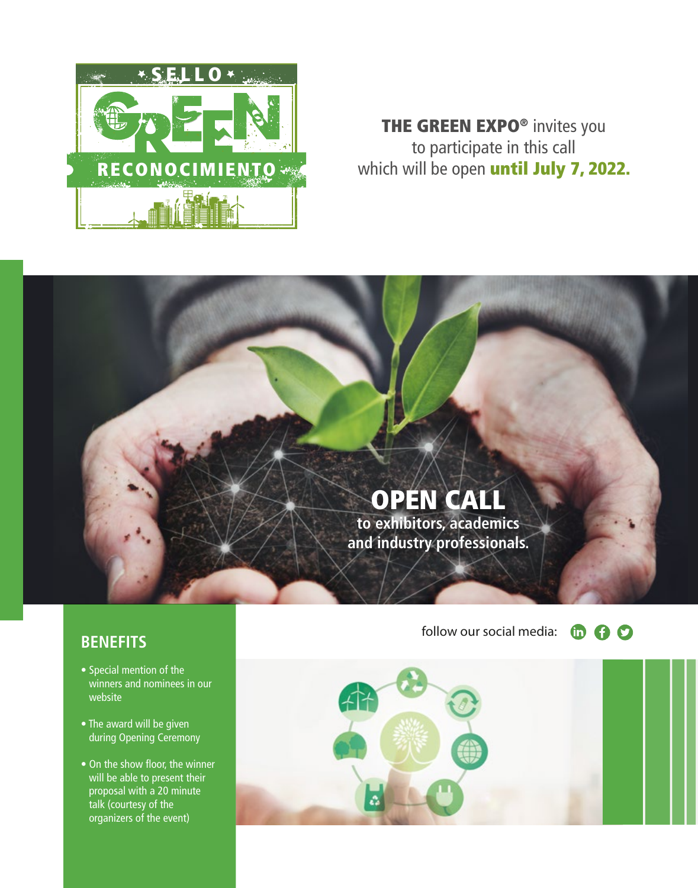

## THE GREEN EXPO® invites you to participate in this call which will be open until July 7, 2022.

# OPEN CALL

**to exhibitors, academics and industry professionals.**

- Special mention of the winners and nominees in our website
- The award will be given during Opening Ceremony
- $\bullet$  On the show floor, the winner will be able to present their proposal with a 20 minute talk (courtesy of the organizers of the event)

**BENEFITS** follow our social media: